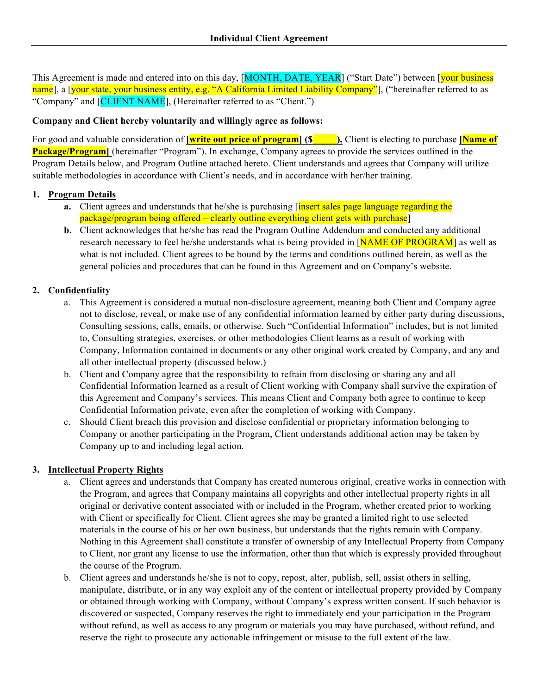This Agreement is made and entered into on this day, [MONTH, DATE, YEAR] ("Start Date") between [your business name], a [your state, your business entity, e.g. "A California Limited Liability Company"], ("hereinafter referred to as "Company" and [CLIENT NAME], (Hereinafter referred to as "Client.")

### **Company and Client hereby voluntarily and willingly agree as follows:**

For good and valuable consideration of **[write out price of program] (\$\_\_\_\_\_),** Client is electing to purchase **[Name of Package/Program** [ (hereinafter "Program"). In exchange, Company agrees to provide the services outlined in the Program Details below, and Program Outline attached hereto. Client understands and agrees that Company will utilize suitable methodologies in accordance with Client's needs, and in accordance with her/her training.

### **1. Program Details**

- **a.** Client agrees and understands that he/she is purchasing *[insert sales page language regarding the* package/program being offered – clearly outline everything client gets with purchase]
- **b.** Client acknowledges that he/she has read the Program Outline Addendum and conducted any additional research necessary to feel he/she understands what is being provided in [NAME OF PROGRAM] as well as what is not included. Client agrees to be bound by the terms and conditions outlined herein, as well as the general policies and procedures that can be found in this Agreement and on Company's website.

# **2. Confidentiality**

- a. This Agreement is considered a mutual non-disclosure agreement, meaning both Client and Company agree not to disclose, reveal, or make use of any confidential information learned by either party during discussions, Consulting sessions, calls, emails, or otherwise. Such "Confidential Information" includes, but is not limited to, Consulting strategies, exercises, or other methodologies Client learns as a result of working with Company, Information contained in documents or any other original work created by Company, and any and all other intellectual property (discussed below.)
- b. Client and Company agree that the responsibility to refrain from disclosing or sharing any and all Confidential Information learned as a result of Client working with Company shall survive the expiration of this Agreement and Company's services. This means Client and Company both agree to continue to keep Confidential Information private, even after the completion of working with Company.
- c. Should Client breach this provision and disclose confidential or proprietary information belonging to Company or another participating in the Program, Client understands additional action may be taken by Company up to and including legal action.

# **3. Intellectual Property Rights**

- a. Client agrees and understands that Company has created numerous original, creative works in connection with the Program, and agrees that Company maintains all copyrights and other intellectual property rights in all original or derivative content associated with or included in the Program, whether created prior to working with Client or specifically for Client. Client agrees she may be granted a limited right to use selected materials in the course of his or her own business, but understands that the rights remain with Company. Nothing in this Agreement shall constitute a transfer of ownership of any Intellectual Property from Company to Client, nor grant any license to use the information, other than that which is expressly provided throughout the course of the Program.
- b. Client agrees and understands he/she is not to copy, repost, alter, publish, sell, assist others in selling, manipulate, distribute, or in any way exploit any of the content or intellectual property provided by Company or obtained through working with Company, without Company's express written consent. If such behavior is discovered or suspected, Company reserves the right to immediately end your participation in the Program without refund, as well as access to any program or materials you may have purchased, without refund, and reserve the right to prosecute any actionable infringement or misuse to the full extent of the law.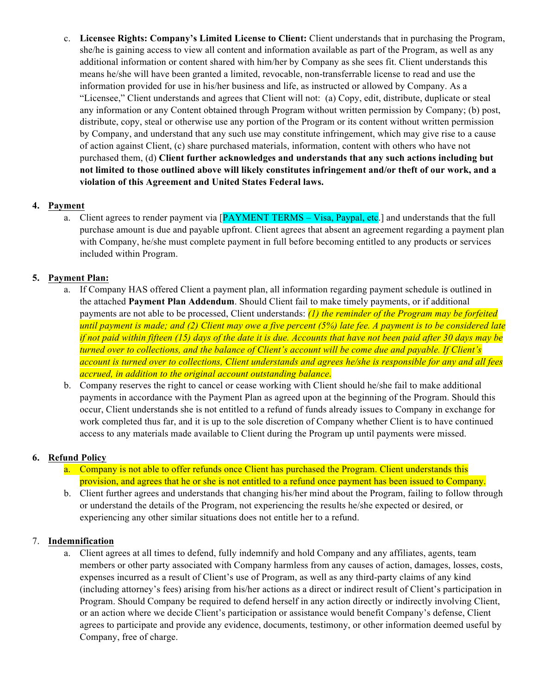c. **Licensee Rights: Company's Limited License to Client:** Client understands that in purchasing the Program, she/he is gaining access to view all content and information available as part of the Program, as well as any additional information or content shared with him/her by Company as she sees fit. Client understands this means he/she will have been granted a limited, revocable, non-transferrable license to read and use the information provided for use in his/her business and life, as instructed or allowed by Company. As a "Licensee," Client understands and agrees that Client will not: (a) Copy, edit, distribute, duplicate or steal any information or any Content obtained through Program without written permission by Company; (b) post, distribute, copy, steal or otherwise use any portion of the Program or its content without written permission by Company, and understand that any such use may constitute infringement, which may give rise to a cause of action against Client, (c) share purchased materials, information, content with others who have not purchased them, (d) **Client further acknowledges and understands that any such actions including but not limited to those outlined above will likely constitutes infringement and/or theft of our work, and a violation of this Agreement and United States Federal laws.**

## **4. Payment**

a. Client agrees to render payment via [PAYMENT TERMS – Visa, Paypal, etc.] and understands that the full purchase amount is due and payable upfront. Client agrees that absent an agreement regarding a payment plan with Company, he/she must complete payment in full before becoming entitled to any products or services included within Program.

## **5. Payment Plan:**

- a. If Company HAS offered Client a payment plan, all information regarding payment schedule is outlined in the attached **Payment Plan Addendum**. Should Client fail to make timely payments, or if additional payments are not able to be processed, Client understands: *(1) the reminder of the Program may be forfeited until payment is made; and (2) Client may owe a five percent (5%) late fee. A payment is to be considered late if not paid within fifteen (15) days of the date it is due. Accounts that have not been paid after 30 days may be turned over to collections, and the balance of Client's account will be come due and payable. If Client's account is turned over to collections, Client understands and agrees he/she is responsible for any and all fees accrued, in addition to the original account outstanding balance*.
- b. Company reserves the right to cancel or cease working with Client should he/she fail to make additional payments in accordance with the Payment Plan as agreed upon at the beginning of the Program. Should this occur, Client understands she is not entitled to a refund of funds already issues to Company in exchange for work completed thus far, and it is up to the sole discretion of Company whether Client is to have continued access to any materials made available to Client during the Program up until payments were missed.

### **6. Refund Policy**

- a. Company is not able to offer refunds once Client has purchased the Program. Client understands this provision, and agrees that he or she is not entitled to a refund once payment has been issued to Company.
- b. Client further agrees and understands that changing his/her mind about the Program, failing to follow through or understand the details of the Program, not experiencing the results he/she expected or desired, or experiencing any other similar situations does not entitle her to a refund.

### 7. **Indemnification**

a. Client agrees at all times to defend, fully indemnify and hold Company and any affiliates, agents, team members or other party associated with Company harmless from any causes of action, damages, losses, costs, expenses incurred as a result of Client's use of Program, as well as any third-party claims of any kind (including attorney's fees) arising from his/her actions as a direct or indirect result of Client's participation in Program. Should Company be required to defend herself in any action directly or indirectly involving Client, or an action where we decide Client's participation or assistance would benefit Company's defense, Client agrees to participate and provide any evidence, documents, testimony, or other information deemed useful by Company, free of charge.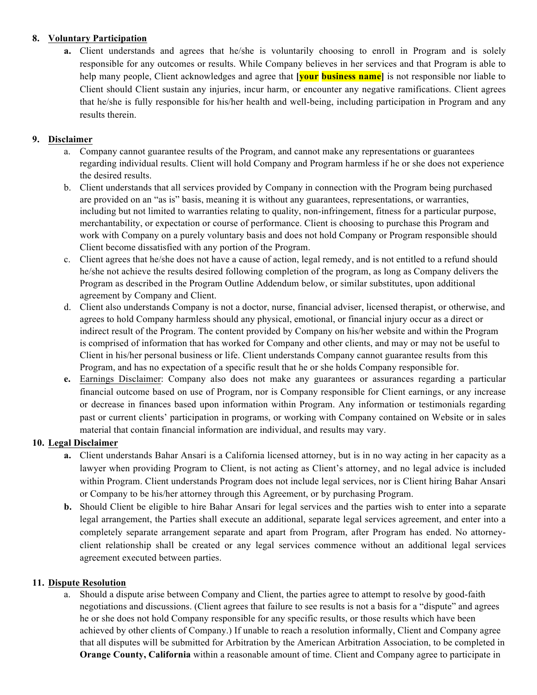## **8. Voluntary Participation**

**a.** Client understands and agrees that he/she is voluntarily choosing to enroll in Program and is solely responsible for any outcomes or results. While Company believes in her services and that Program is able to help many people, Client acknowledges and agree that **[your business name]** is not responsible nor liable to Client should Client sustain any injuries, incur harm, or encounter any negative ramifications. Client agrees that he/she is fully responsible for his/her health and well-being, including participation in Program and any results therein.

## **9. Disclaimer**

- a. Company cannot guarantee results of the Program, and cannot make any representations or guarantees regarding individual results. Client will hold Company and Program harmless if he or she does not experience the desired results.
- b. Client understands that all services provided by Company in connection with the Program being purchased are provided on an "as is" basis, meaning it is without any guarantees, representations, or warranties, including but not limited to warranties relating to quality, non-infringement, fitness for a particular purpose, merchantability, or expectation or course of performance. Client is choosing to purchase this Program and work with Company on a purely voluntary basis and does not hold Company or Program responsible should Client become dissatisfied with any portion of the Program.
- c. Client agrees that he/she does not have a cause of action, legal remedy, and is not entitled to a refund should he/she not achieve the results desired following completion of the program, as long as Company delivers the Program as described in the Program Outline Addendum below, or similar substitutes, upon additional agreement by Company and Client.
- d. Client also understands Company is not a doctor, nurse, financial adviser, licensed therapist, or otherwise, and agrees to hold Company harmless should any physical, emotional, or financial injury occur as a direct or indirect result of the Program. The content provided by Company on his/her website and within the Program is comprised of information that has worked for Company and other clients, and may or may not be useful to Client in his/her personal business or life. Client understands Company cannot guarantee results from this Program, and has no expectation of a specific result that he or she holds Company responsible for.
- **e.** Earnings Disclaimer: Company also does not make any guarantees or assurances regarding a particular financial outcome based on use of Program, nor is Company responsible for Client earnings, or any increase or decrease in finances based upon information within Program. Any information or testimonials regarding past or current clients' participation in programs, or working with Company contained on Website or in sales material that contain financial information are individual, and results may vary.

### **10. Legal Disclaimer**

- **a.** Client understands Bahar Ansari is a California licensed attorney, but is in no way acting in her capacity as a lawyer when providing Program to Client, is not acting as Client's attorney, and no legal advice is included within Program. Client understands Program does not include legal services, nor is Client hiring Bahar Ansari or Company to be his/her attorney through this Agreement, or by purchasing Program.
- **b.** Should Client be eligible to hire Bahar Ansari for legal services and the parties wish to enter into a separate legal arrangement, the Parties shall execute an additional, separate legal services agreement, and enter into a completely separate arrangement separate and apart from Program, after Program has ended. No attorneyclient relationship shall be created or any legal services commence without an additional legal services agreement executed between parties.

### **11. Dispute Resolution**

a. Should a dispute arise between Company and Client, the parties agree to attempt to resolve by good-faith negotiations and discussions. (Client agrees that failure to see results is not a basis for a "dispute" and agrees he or she does not hold Company responsible for any specific results, or those results which have been achieved by other clients of Company.) If unable to reach a resolution informally, Client and Company agree that all disputes will be submitted for Arbitration by the American Arbitration Association, to be completed in **Orange County, California** within a reasonable amount of time. Client and Company agree to participate in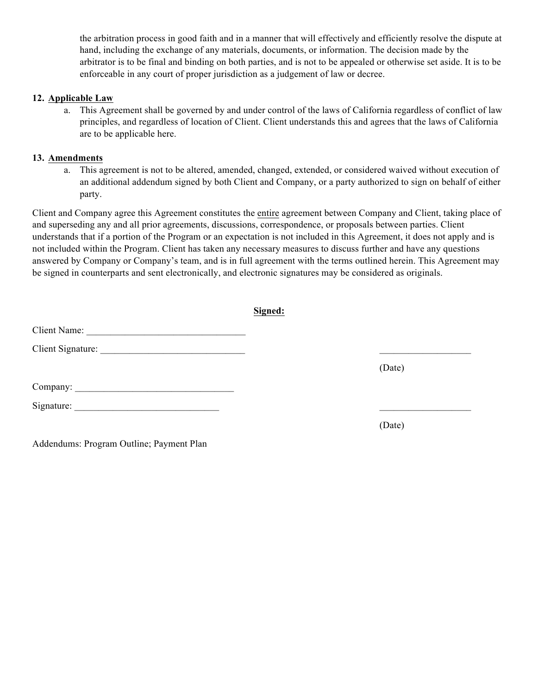the arbitration process in good faith and in a manner that will effectively and efficiently resolve the dispute at hand, including the exchange of any materials, documents, or information. The decision made by the arbitrator is to be final and binding on both parties, and is not to be appealed or otherwise set aside. It is to be enforceable in any court of proper jurisdiction as a judgement of law or decree.

#### **12. Applicable Law**

a. This Agreement shall be governed by and under control of the laws of California regardless of conflict of law principles, and regardless of location of Client. Client understands this and agrees that the laws of California are to be applicable here.

#### **13. Amendments**

a. This agreement is not to be altered, amended, changed, extended, or considered waived without execution of an additional addendum signed by both Client and Company, or a party authorized to sign on behalf of either party.

Client and Company agree this Agreement constitutes the entire agreement between Company and Client, taking place of and superseding any and all prior agreements, discussions, correspondence, or proposals between parties. Client understands that if a portion of the Program or an expectation is not included in this Agreement, it does not apply and is not included within the Program. Client has taken any necessary measures to discuss further and have any questions answered by Company or Company's team, and is in full agreement with the terms outlined herein. This Agreement may be signed in counterparts and sent electronically, and electronic signatures may be considered as originals.

|                                          | Signed: |        |
|------------------------------------------|---------|--------|
| Client Name:                             |         |        |
|                                          |         |        |
|                                          |         | (Date) |
|                                          |         |        |
|                                          |         |        |
|                                          |         | (Date) |
| Addendums: Program Outline; Payment Plan |         |        |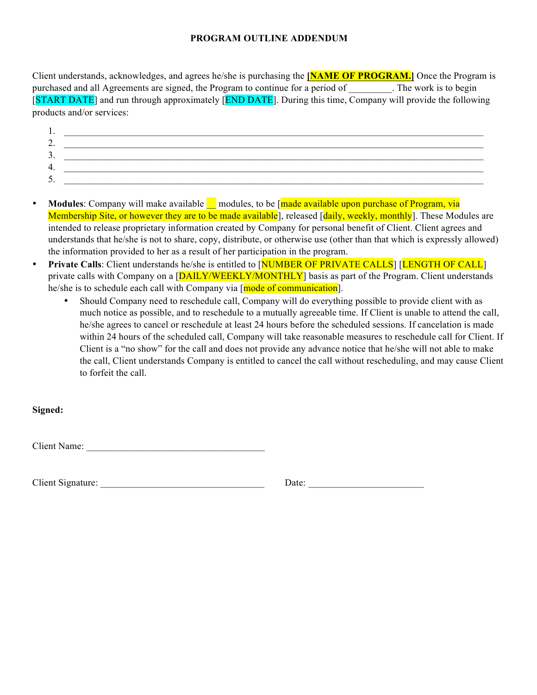### **PROGRAM OUTLINE ADDENDUM**

Client understands, acknowledges, and agrees he/she is purchasing the **[NAME OF PROGRAM.]** Once the Program is purchased and all Agreements are signed, the Program to continue for a period of The work is to begin [START DATE] and run through approximately [END DATE]. During this time, Company will provide the following products and/or services:

- 1. \_\_\_\_\_\_\_\_\_\_\_\_\_\_\_\_\_\_\_\_\_\_\_\_\_\_\_\_\_\_\_\_\_\_\_\_\_\_\_\_\_\_\_\_\_\_\_\_\_\_\_\_\_\_\_\_\_\_\_\_\_\_\_\_\_\_\_\_\_\_\_\_\_\_\_\_\_\_\_\_\_\_\_\_\_\_\_ 2.  $\Box$ 3. 4. \_\_\_\_\_\_\_\_\_\_\_\_\_\_\_\_\_\_\_\_\_\_\_\_\_\_\_\_\_\_\_\_\_\_\_\_\_\_\_\_\_\_\_\_\_\_\_\_\_\_\_\_\_\_\_\_\_\_\_\_\_\_\_\_\_\_\_\_\_\_\_\_\_\_\_\_\_\_\_\_\_\_\_\_\_\_\_  $5.$
- Modules: Company will make available <u>I</u> modules, to be [made available upon purchase of Program, via Membership Site, or however they are to be made available], released [daily, weekly, monthly]. These Modules are intended to release proprietary information created by Company for personal benefit of Client. Client agrees and understands that he/she is not to share, copy, distribute, or otherwise use (other than that which is expressly allowed) the information provided to her as a result of her participation in the program.
- **Private Calls**: Client understands he/she is entitled to [NUMBER OF PRIVATE CALLS] [LENGTH OF CALL] private calls with Company on a [DAILY/WEEKLY/MONTHLY] basis as part of the Program. Client understands he/she is to schedule each call with Company via [mode of communication].
	- Should Company need to reschedule call, Company will do everything possible to provide client with as much notice as possible, and to reschedule to a mutually agreeable time. If Client is unable to attend the call, he/she agrees to cancel or reschedule at least 24 hours before the scheduled sessions. If cancelation is made within 24 hours of the scheduled call, Company will take reasonable measures to reschedule call for Client. If Client is a "no show" for the call and does not provide any advance notice that he/she will not able to make the call, Client understands Company is entitled to cancel the call without rescheduling, and may cause Client to forfeit the call.

**Signed:** 

Client Name: \_\_\_\_\_\_\_\_\_\_\_\_\_\_\_\_\_\_\_\_\_\_\_\_\_\_\_\_\_\_\_\_\_\_\_\_\_

Client Signature: \_\_\_\_\_\_\_\_\_\_\_\_\_\_\_\_\_\_\_\_\_\_\_\_\_\_\_\_\_\_\_\_\_\_ Date: \_\_\_\_\_\_\_\_\_\_\_\_\_\_\_\_\_\_\_\_\_\_\_\_